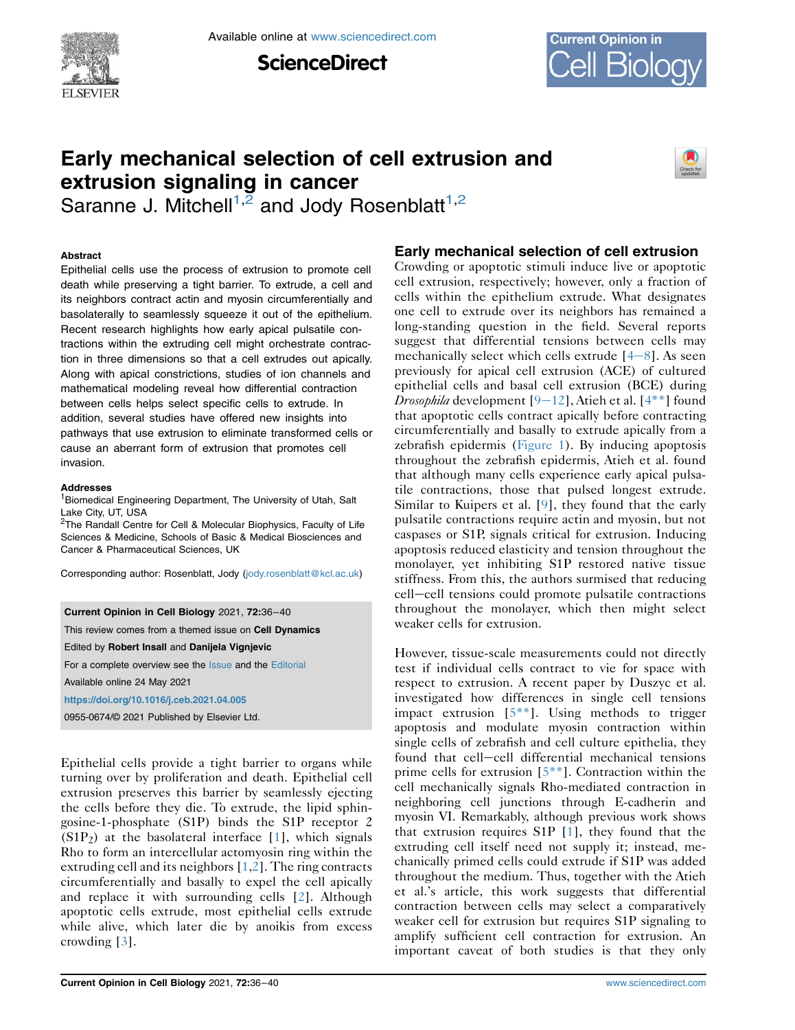

Available online at [www.sciencedirect.com](www.sciencedirect.com/science/journal/09550674)

**ScienceDirect** 



# Early mechanical selection of cell extrusion and extrusion signaling in cancer



Saranne J. Mitchell<sup>[1,](#page-0-0)[2](#page-0-1)</sup> and Jody Rosenblatt<sup>1,2</sup>

#### Abstract

Epithelial cells use the process of extrusion to promote cell death while preserving a tight barrier. To extrude, a cell and its neighbors contract actin and myosin circumferentially and basolaterally to seamlessly squeeze it out of the epithelium. Recent research highlights how early apical pulsatile contractions within the extruding cell might orchestrate contraction in three dimensions so that a cell extrudes out apically. Along with apical constrictions, studies of ion channels and mathematical modeling reveal how differential contraction between cells helps select specific cells to extrude. In addition, several studies have offered new insights into pathways that use extrusion to eliminate transformed cells or cause an aberrant form of extrusion that promotes cell invasion.

#### Addresses

<span id="page-0-0"></span><sup>1</sup> Biomedical Engineering Department, The University of Utah, Salt Lake City, UT, USA

<span id="page-0-1"></span><sup>2</sup>The Randall Centre for Cell & Molecular Biophysics, Faculty of Life Sciences & Medicine, Schools of Basic & Medical Biosciences and Cancer & Pharmaceutical Sciences, UK

Corresponding author: Rosenblatt, Jody ([jody.rosenblatt@kcl.ac.uk\)](mailto:jody.rosenblatt@kcl.ac.uk)

Current Opinion in Cell Biology 2021, 72:36–40 This review comes from a themed issue on Cell Dynamics Edited by Robert Insall and Danijela Vignjevic For a complete overview see the [Issue](http://www.sciencedirect.com/science/journal/18796257/72/C) and the [Editorial](https://doi.org/10.1016/j.ceb.2021.08.002) Available online 24 May 2021 <https://doi.org/10.1016/j.ceb.2021.04.005> 0955-0674/© 2021 Published by Elsevier Ltd.

Epithelial cells provide a tight barrier to organs while turning over by proliferation and death. Epithelial cell extrusion preserves this barrier by seamlessly ejecting the cells before they die. To extrude, the lipid sphingosine-1-phosphate (S1P) binds the S1P receptor 2  $(S1P<sub>2</sub>)$  at the basolateral interface [\[1](#page-3-0)], which signals Rho to form an intercellular actomyosin ring within the extruding cell and its neighbors [[1](#page-3-0)[,2\]](#page-3-1). The ring contracts circumferentially and basally to expel the cell apically and replace it with surrounding cells [[2\]](#page-3-1). Although apoptotic cells extrude, most epithelial cells extrude while alive, which later die by anoikis from excess crowding [\[3](#page-3-2)].

# Early mechanical selection of cell extrusion

Crowding or apoptotic stimuli induce live or apoptotic cell extrusion, respectively; however, only a fraction of cells within the epithelium extrude. What designates one cell to extrude over its neighbors has remained a long-standing question in the field. Several reports suggest that differential tensions between cells may mechanically select which cells extrude  $[4-8]$  $[4-8]$  $[4-8]$  $[4-8]$ . As seen previously for apical cell extrusion (ACE) of cultured epithelial cells and basal cell extrusion (BCE) during *Drosophila* development  $[9-12]$  $[9-12]$  $[9-12]$  $[9-12]$  $[9-12]$ , Atieh et al.  $[4^{**}]$  found that apoptotic cells contract apically before contracting circumferentially and basally to extrude apically from a zebrafish epidermis ([Figure 1](#page-1-0)). By inducing apoptosis throughout the zebrafish epidermis, Atieh et al. found that although many cells experience early apical pulsatile contractions, those that pulsed longest extrude. Similar to Kuipers et al. [\[9](#page-3-4)], they found that the early pulsatile contractions require actin and myosin, but not caspases or S1P, signals critical for extrusion. Inducing apoptosis reduced elasticity and tension throughout the monolayer, yet inhibiting S1P restored native tissue stiffness. From this, the authors surmised that reducing cell-cell tensions could promote pulsatile contractions throughout the monolayer, which then might select weaker cells for extrusion.

However, tissue-scale measurements could not directly test if individual cells contract to vie for space with respect to extrusion. A recent paper by Duszyc et al. investigated how differences in single cell tensions impact extrusion  $[5^{**}]$ . Using methods to trigger apoptosis and modulate myosin contraction within single cells of zebrafish and cell culture epithelia, they found that cell-cell differential mechanical tensions prime cells for extrusion [\[5\\*\\*\]](#page-3-5). Contraction within the cell mechanically signals Rho-mediated contraction in neighboring cell junctions through E-cadherin and myosin VI. Remarkably, although previous work shows that extrusion requires S1P [[1](#page-3-0)], they found that the extruding cell itself need not supply it; instead, mechanically primed cells could extrude if S1P was added throughout the medium. Thus, together with the Atieh et al.'s article, this work suggests that differential contraction between cells may select a comparatively weaker cell for extrusion but requires S1P signaling to amplify sufficient cell contraction for extrusion. An important caveat of both studies is that they only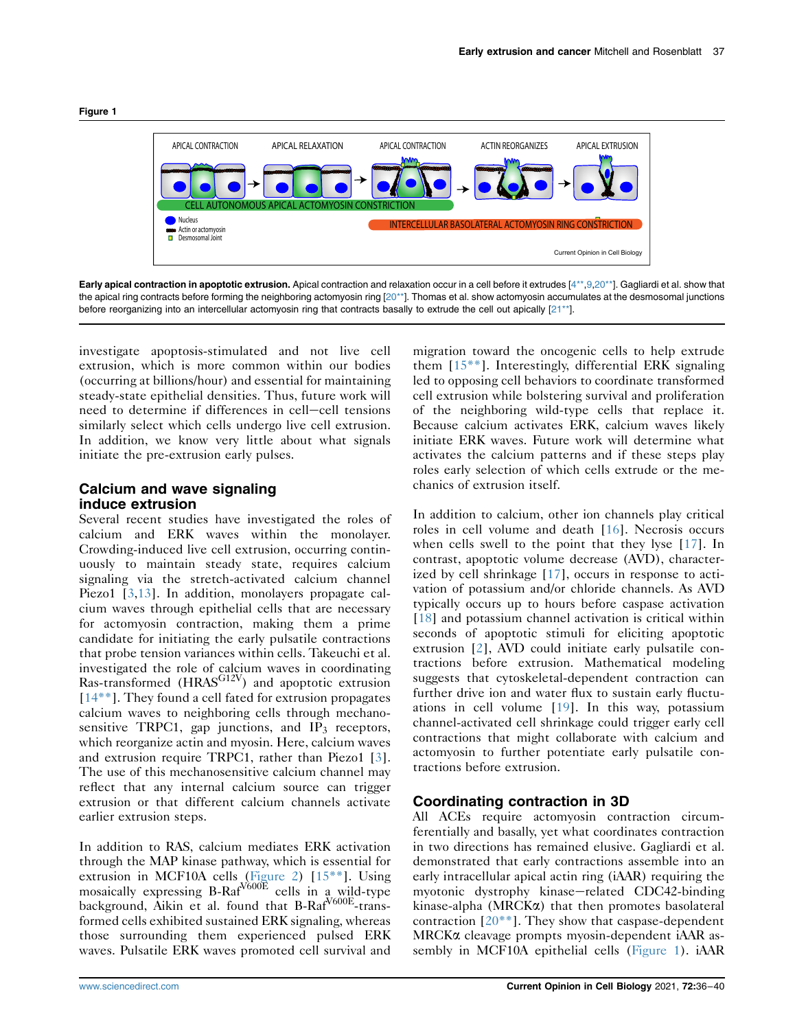<span id="page-1-0"></span>



Early apical contraction in apoptotic extrusion. Apical contraction and relaxation occur in a cell before it extrudes [\[4\\*\\*](#page-3-3)[,9](#page-3-4)[,20\\*\\*](#page-4-7)]. Gagliardi et al. show that the apical ring contracts before forming the neighboring actomyosin ring [\[20\\*\\*](#page-4-7)]. Thomas et al. show actomyosin accumulates at the desmosomal junctions before reorganizing into an intercellular actomyosin ring that contracts basally to extrude the cell out apically [[21\\*\\*\]](#page-4-8).

investigate apoptosis-stimulated and not live cell extrusion, which is more common within our bodies (occurring at billions/hour) and essential for maintaining steady-state epithelial densities. Thus, future work will need to determine if differences in cell-cell tensions similarly select which cells undergo live cell extrusion. In addition, we know very little about what signals initiate the pre-extrusion early pulses.

## Calcium and wave signaling induce extrusion

Several recent studies have investigated the roles of calcium and ERK waves within the monolayer. Crowding-induced live cell extrusion, occurring continuously to maintain steady state, requires calcium signaling via the stretch-activated calcium channel Piezo1 [\[3,](#page-3-2)[13\]](#page-4-0). In addition, monolayers propagate calcium waves through epithelial cells that are necessary for actomyosin contraction, making them a prime candidate for initiating the early pulsatile contractions that probe tension variances within cells. Takeuchi et al. investigated the role of calcium waves in coordinating  $Ras-transformed$  (HRAS $G12V$ ) and apoptotic extrusion [\[14\\*\\*](#page-4-1)]. They found a cell fated for extrusion propagates calcium waves to neighboring cells through mechanosensitive TRPC1, gap junctions, and  $IP<sub>3</sub>$  receptors, which reorganize actin and myosin. Here, calcium waves and extrusion require TRPC1, rather than Piezo1 [\[3](#page-3-2)]. The use of this mechanosensitive calcium channel may reflect that any internal calcium source can trigger extrusion or that different calcium channels activate earlier extrusion steps.

In addition to RAS, calcium mediates ERK activation through the MAP kinase pathway, which is essential for extrusion in MCF10A cells ([Figure 2](#page-2-0)) [\[15\\*\\*](#page-4-2)]. Using mosaically expressing  $B-Raf<sup>V600E</sup>$  cells in a wild-type background, Aikin et al. found that B-Raf<sup>V600E</sup>-transformed cells exhibited sustained ERK signaling, whereas those surrounding them experienced pulsed ERK waves. Pulsatile ERK waves promoted cell survival and

migration toward the oncogenic cells to help extrude them [[15\\*\\*\]](#page-4-2). Interestingly, differential ERK signaling led to opposing cell behaviors to coordinate transformed cell extrusion while bolstering survival and proliferation of the neighboring wild-type cells that replace it. Because calcium activates ERK, calcium waves likely initiate ERK waves. Future work will determine what activates the calcium patterns and if these steps play roles early selection of which cells extrude or the mechanics of extrusion itself.

In addition to calcium, other ion channels play critical roles in cell volume and death [[16](#page-4-3)]. Necrosis occurs when cells swell to the point that they lyse [\[17\]](#page-4-4). In contrast, apoptotic volume decrease (AVD), characterized by cell shrinkage [[17](#page-4-4)], occurs in response to activation of potassium and/or chloride channels. As AVD typically occurs up to hours before caspase activation [\[18\]](#page-4-5) and potassium channel activation is critical within seconds of apoptotic stimuli for eliciting apoptotic extrusion [\[2](#page-3-1)], AVD could initiate early pulsatile contractions before extrusion. Mathematical modeling suggests that cytoskeletal-dependent contraction can further drive ion and water flux to sustain early fluctuations in cell volume [[19](#page-4-6)]. In this way, potassium channel-activated cell shrinkage could trigger early cell contractions that might collaborate with calcium and actomyosin to further potentiate early pulsatile contractions before extrusion.

#### Coordinating contraction in 3D

All ACEs require actomyosin contraction circumferentially and basally, yet what coordinates contraction in two directions has remained elusive. Gagliardi et al. demonstrated that early contractions assemble into an early intracellular apical actin ring (iAAR) requiring the myotonic dystrophy kinase-related CDC42-binding kinase-alpha (MRCKa) that then promotes basolateral contraction  $[20^{**}]$ . They show that caspase-dependent MRCKa cleavage prompts myosin-dependent iAAR assembly in MCF10A epithelial cells ([Figure 1](#page-1-0)). iAAR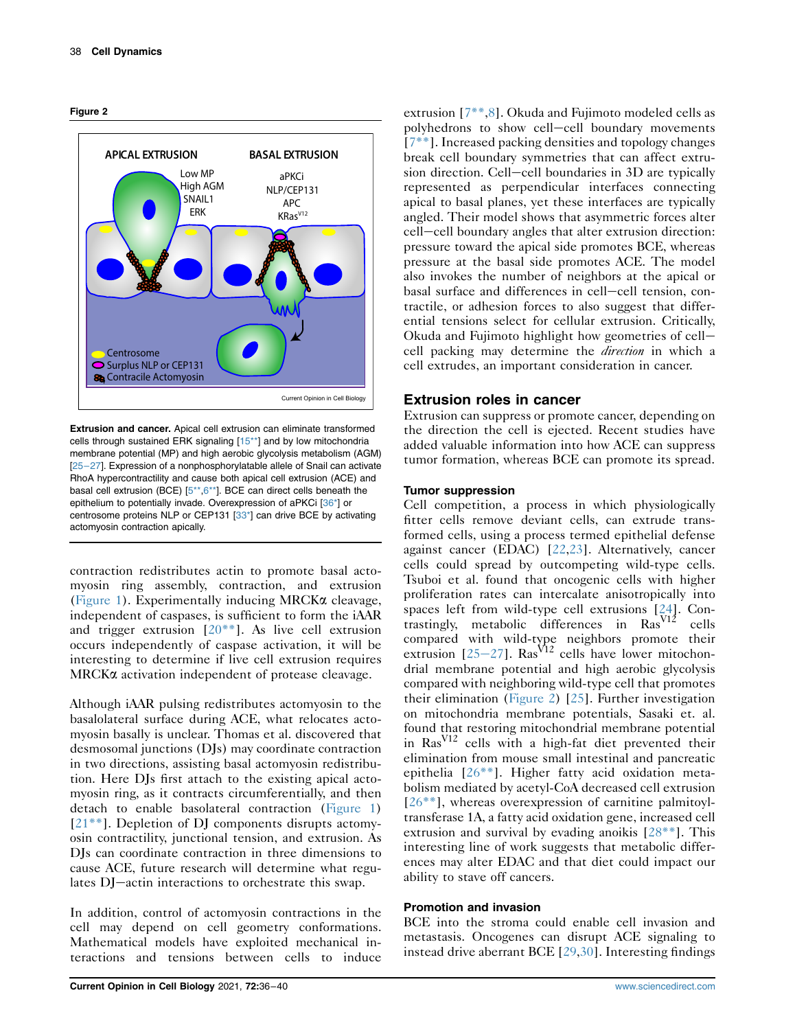<span id="page-2-0"></span>



Extrusion and cancer. Apical cell extrusion can eliminate transformed cells through sustained ERK signaling [[15\\*\\*\]](#page-4-2) and by low mitochondria membrane potential (MP) and high aerobic glycolysis metabolism (AGM) [25–[27\]](#page-4-12). Expression of a nonphosphorylatable allele of Snail can activate RhoA hypercontractility and cause both apical cell extrusion (ACE) and basal cell extrusion (BCE) [[5\\*\\*,](#page-3-5)[6\\*\\*\]](#page-3-8). BCE can direct cells beneath the epithelium to potentially invade. Overexpression of aPKCi [[36\\*](#page-4-17)] or centrosome proteins NLP or CEP131 [[33\\*\]](#page-4-18) can drive BCE by activating actomyosin contraction apically.

contraction redistributes actin to promote basal actomyosin ring assembly, contraction, and extrusion [\(Figure 1](#page-1-0)). Experimentally inducing MRCK $\alpha$  cleavage, independent of caspases, is sufficient to form the iAAR and trigger extrusion  $[20^{**}]$ . As live cell extrusion occurs independently of caspase activation, it will be interesting to determine if live cell extrusion requires MRCK $\alpha$  activation independent of protease cleavage.

Although iAAR pulsing redistributes actomyosin to the basalolateral surface during ACE, what relocates actomyosin basally is unclear. Thomas et al. discovered that desmosomal junctions (DJs) may coordinate contraction in two directions, assisting basal actomyosin redistribution. Here DJs first attach to the existing apical actomyosin ring, as it contracts circumferentially, and then detach to enable basolateral contraction ([Figure 1\)](#page-1-0) [\[21\\*\\*](#page-4-8)]. Depletion of DJ components disrupts actomyosin contractility, junctional tension, and extrusion. As DJs can coordinate contraction in three dimensions to cause ACE, future research will determine what regulates DJ-actin interactions to orchestrate this swap.

In addition, control of actomyosin contractions in the cell may depend on cell geometry conformations. Mathematical models have exploited mechanical interactions and tensions between cells to induce

extrusion [[7\\*\\*,](#page-3-6)[8](#page-3-7)]. Okuda and Fujimoto modeled cells as polyhedrons to show cell-cell boundary movements [\[7\\*\\*](#page-3-6)]. Increased packing densities and topology changes break cell boundary symmetries that can affect extrusion direction. Cell-cell boundaries in 3D are typically represented as perpendicular interfaces connecting apical to basal planes, yet these interfaces are typically angled. Their model shows that asymmetric forces alter cell-cell boundary angles that alter extrusion direction: pressure toward the apical side promotes BCE, whereas pressure at the basal side promotes ACE. The model also invokes the number of neighbors at the apical or basal surface and differences in cell-cell tension, contractile, or adhesion forces to also suggest that differential tensions select for cellular extrusion. Critically, Okuda and Fujimoto highlight how geometries of cellcell packing may determine the direction in which a cell extrudes, an important consideration in cancer.

# Extrusion roles in cancer

Extrusion can suppress or promote cancer, depending on the direction the cell is ejected. Recent studies have added valuable information into how ACE can suppress tumor formation, whereas BCE can promote its spread.

## Tumor suppression

Cell competition, a process in which physiologically fitter cells remove deviant cells, can extrude transformed cells, using a process termed epithelial defense against cancer (EDAC) [[22](#page-4-9),[23](#page-4-10)]. Alternatively, cancer cells could spread by outcompeting wild-type cells. Tsuboi et al. found that oncogenic cells with higher proliferation rates can intercalate anisotropically into spaces left from wild-type cell extrusions [[24](#page-4-11)]. Contrastingly, metabolic differences in  $\text{Ras}^{\text{V12}}$  cells compared with wild-type neighbors promote their extrusion  $[25-27]$  $[25-27]$  $[25-27]$  $[25-27]$  $[25-27]$ . Ras<sup>V12</sup> cells have lower mitochondrial membrane potential and high aerobic glycolysis compared with neighboring wild-type cell that promotes their elimination [\(Figure 2\)](#page-2-0) [[25](#page-4-12)]. Further investigation on mitochondria membrane potentials, Sasaki et. al. found that restoring mitochondrial membrane potential in RasV12 cells with a high-fat diet prevented their elimination from mouse small intestinal and pancreatic epithelia [[26\\*\\*\]](#page-4-13). Higher fatty acid oxidation metabolism mediated by acetyl-CoA decreased cell extrusion  $[26***]$  $[26***]$ , whereas overexpression of carnitine palmitoyltransferase 1A, a fatty acid oxidation gene, increased cell extrusion and survival by evading anoikis [[28\\*\\*\]](#page-4-14). This interesting line of work suggests that metabolic differences may alter EDAC and that diet could impact our ability to stave off cancers.

## Promotion and invasion

BCE into the stroma could enable cell invasion and metastasis. Oncogenes can disrupt ACE signaling to instead drive aberrant BCE [\[29](#page-4-15)[,30](#page-4-16)]. Interesting findings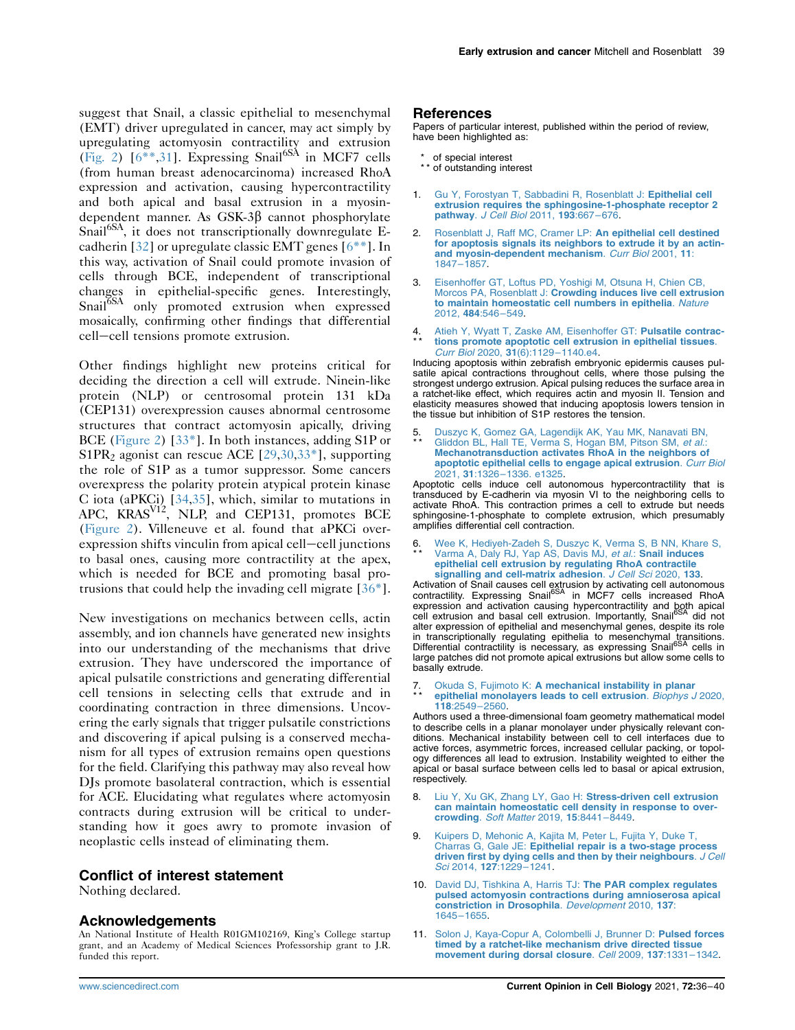suggest that Snail, a classic epithelial to mesenchymal (EMT) driver upregulated in cancer, may act simply by upregulating actomyosin contractility and extrusion [\(Fig. 2\)](#page-2-0)  $[6^{**},31]$  $[6^{**},31]$  $[6^{**},31]$ . Expressing Snail<sup>6SA</sup> in MCF7 cells (from human breast adenocarcinoma) increased RhoA expression and activation, causing hypercontractility and both apical and basal extrusion in a myosindependent manner. As GSK-3 $\beta$  cannot phosphorylate Snail<sup>6SA</sup>, it does not transcriptionally downregulate Ecadherin [[32\]](#page-4-20) or upregulate classic EMT genes [[6\\*\\*\]](#page-3-8). In this way, activation of Snail could promote invasion of cells through BCE, independent of transcriptional changes in epithelial-specific genes. Interestingly, Snail<sup>6SA</sup> only promoted extrusion when expressed mosaically, confirming other findings that differential cell-cell tensions promote extrusion.

Other findings highlight new proteins critical for deciding the direction a cell will extrude. Ninein-like protein (NLP) or centrosomal protein 131 kDa (CEP131) overexpression causes abnormal centrosome structures that contract actomyosin apically, driving BCE [\(Figure 2\)](#page-2-0) [\[33\\*](#page-4-18)]. In both instances, adding S1P or S1PR<sub>2</sub> agonist can rescue ACE  $[29,30,33^*]$  $[29,30,33^*]$  $[29,30,33^*]$ , supporting the role of S1P as a tumor suppressor. Some cancers overexpress the polarity protein atypical protein kinase C iota (aPKCi) [\[34,](#page-4-21)[35](#page-4-22)], which, similar to mutations in APC, KRAS<sup>V12</sup>, NLP, and CEP131, promotes BCE [\(Figure 2\)](#page-2-0). Villeneuve et al. found that aPKCi overexpression shifts vinculin from apical cell-cell junctions to basal ones, causing more contractility at the apex, which is needed for BCE and promoting basal protrusions that could help the invading cell migrate [[36\\*](#page-4-17)].

New investigations on mechanics between cells, actin assembly, and ion channels have generated new insights into our understanding of the mechanisms that drive extrusion. They have underscored the importance of apical pulsatile constrictions and generating differential cell tensions in selecting cells that extrude and in coordinating contraction in three dimensions. Uncovering the early signals that trigger pulsatile constrictions and discovering if apical pulsing is a conserved mechanism for all types of extrusion remains open questions for the field. Clarifying this pathway may also reveal how DJs promote basolateral contraction, which is essential for ACE. Elucidating what regulates where actomyosin contracts during extrusion will be critical to understanding how it goes awry to promote invasion of neoplastic cells instead of eliminating them.

# Conflict of interest statement

Nothing declared.

# Acknowledgements

An National Institute of Health R01GM102169, King's College startup grant, and an Academy of Medical Sciences Professorship grant to J.R. funded this report.

#### References

Papers of particular interest, published within the period of review, have been highlighted as:

- of special interest
- \*\* of outstanding interest
- <span id="page-3-0"></span>[Gu Y, Forostyan T, Sabbadini R, Rosenblatt J:](http://refhub.elsevier.com/S0955-0674(21)00049-1/sref1) Epithelial cell [extrusion requires the sphingosine-1-phosphate receptor 2](http://refhub.elsevier.com/S0955-0674(21)00049-1/sref1) pathway. [J Cell Biol](http://refhub.elsevier.com/S0955-0674(21)00049-1/sref1) 2011, 193:667–676.
- <span id="page-3-1"></span>2. [Rosenblatt J, Raff MC, Cramer LP:](http://refhub.elsevier.com/S0955-0674(21)00049-1/sref2) An epithelial cell destined [for apoptosis signals its neighbors to extrude it by an actin](http://refhub.elsevier.com/S0955-0674(21)00049-1/sref2)[and myosin-dependent mechanism](http://refhub.elsevier.com/S0955-0674(21)00049-1/sref2). Curr Biol 2001, 11: [1847](http://refhub.elsevier.com/S0955-0674(21)00049-1/sref2)–1857.
- <span id="page-3-2"></span>3. [Eisenhoffer GT, Loftus PD, Yoshigi M, Otsuna H, Chien CB,](http://refhub.elsevier.com/S0955-0674(21)00049-1/sref3) Morcos PA, Rosenblatt J: [Crowding induces live cell extrusion](http://refhub.elsevier.com/S0955-0674(21)00049-1/sref3) [to maintain homeostatic cell numbers in epithelia](http://refhub.elsevier.com/S0955-0674(21)00049-1/sref3). Nature [2012,](http://refhub.elsevier.com/S0955-0674(21)00049-1/sref3) 484:546–549.
- <span id="page-3-3"></span>4 \* \* Atieh Y. Wyatt T. Zaske AM. Eisenhoffer GT: Pulsatile contrac[tions promote apoptotic cell extrusion in epithelial tissues](http://refhub.elsevier.com/S0955-0674(21)00049-1/sref4). [Curr Biol](http://refhub.elsevier.com/S0955-0674(21)00049-1/sref4) 2020, 31(6):1129–1140.e4.

Inducing apoptosis within zebrafish embryonic epidermis causes pulsatile apical contractions throughout cells, where those pulsing the strongest undergo extrusion. Apical pulsing reduces the surface area in a ratchet-like effect, which requires actin and myosin II. Tension and elasticity measures showed that inducing apoptosis lowers tension in the tissue but inhibition of S1P restores the tension.

<span id="page-3-5"></span>5 \* \* . [Duszyc K, Gomez GA, Lagendijk AK, Yau MK, Nanavati BN,](http://refhub.elsevier.com/S0955-0674(21)00049-1/sref5) [Gliddon BL, Hall TE, Verma S, Hogan BM, Pitson SM,](http://refhub.elsevier.com/S0955-0674(21)00049-1/sref5) et al.: [Mechanotransduction activates RhoA in the neighbors of](http://refhub.elsevier.com/S0955-0674(21)00049-1/sref5) [apoptotic epithelial cells to engage apical extrusion](http://refhub.elsevier.com/S0955-0674(21)00049-1/sref5). Curr Biol 2021, 31:1326–[1336. e1325.](http://refhub.elsevier.com/S0955-0674(21)00049-1/sref5)

Apoptotic cells induce cell autonomous hypercontractility that is transduced by E-cadherin via myosin VI to the neighboring cells to activate RhoA. This contraction primes a cell to extrude but needs sphingosine-1-phosphate to complete extrusion, which presumably amplifies differential cell contraction.

<span id="page-3-8"></span>6 \* \* [Wee K, Hediyeh-Zadeh S, Duszyc K, Verma S, B NN, Khare S,](http://refhub.elsevier.com/S0955-0674(21)00049-1/sref6) [Varma A, Daly RJ, Yap AS, Davis MJ,](http://refhub.elsevier.com/S0955-0674(21)00049-1/sref6) et al.: Snail induces [epithelial cell extrusion by regulating RhoA contractile](http://refhub.elsevier.com/S0955-0674(21)00049-1/sref6)<br>[signalling and cell-matrix adhesion](http://refhub.elsevier.com/S0955-0674(21)00049-1/sref6). J Cell Sci 2020, 133.

Activation of Snail causes cell extrusion by activating cell autonomous<br>contractility. Expressing Snail<sup>6SA</sup> in MCF7 cells increased RhoA expression and activation causing hypercontractility and both apical<br>cell extrusion and basal cell extrusion. Importantly, Snail<sup>6SA</sup> did not alter expression of epithelial and mesenchymal genes, despite its role in transcriptionally regulating epithelia to mesenchymal transitions.<br>Differential contractility is necessary, as expressing Snail<sup>6SA</sup> cells in large patches did not promote apical extrusions but allow some cells to basally extrude.

<span id="page-3-6"></span>7 \* \* Okuda S, Fujimoto K: [A mechanical instability in planar](http://refhub.elsevier.com/S0955-0674(21)00049-1/sref7) [epithelial monolayers leads to cell extrusion](http://refhub.elsevier.com/S0955-0674(21)00049-1/sref7). Biophys J 2020, 118[:2549](http://refhub.elsevier.com/S0955-0674(21)00049-1/sref7)–2560.

Authors used a three-dimensional foam geometry mathematical model to describe cells in a planar monolayer under physically relevant conditions. Mechanical instability between cell to cell interfaces due to active forces, asymmetric forces, increased cellular packing, or topology differences all lead to extrusion. Instability weighted to either the apical or basal surface between cells led to basal or apical extrusion, respectively.

- <span id="page-3-7"></span>8. [Liu Y, Xu GK, Zhang LY, Gao H:](http://refhub.elsevier.com/S0955-0674(21)00049-1/sref8) Stress-driven cell extrusion [can maintain homeostatic cell density in response to over](http://refhub.elsevier.com/S0955-0674(21)00049-1/sref8)crowding. [Soft Matter](http://refhub.elsevier.com/S0955-0674(21)00049-1/sref8) 2019, 15:8441–8449.
- <span id="page-3-4"></span>9. [Kuipers D, Mehonic A, Kajita M, Peter L, Fujita Y, Duke T,](http://refhub.elsevier.com/S0955-0674(21)00049-1/sref9) Charras G, Gale JE: [Epithelial repair is a two-stage process](http://refhub.elsevier.com/S0955-0674(21)00049-1/sref9) [driven first by dying cells and then by their neighbours](http://refhub.elsevier.com/S0955-0674(21)00049-1/sref9). J Cell Sci 2014, 127[:1229](http://refhub.elsevier.com/S0955-0674(21)00049-1/sref9)–1241.
- 10. [David DJ, Tishkina A, Harris TJ:](http://refhub.elsevier.com/S0955-0674(21)00049-1/sref10) The PAR complex regulates [pulsed actomyosin contractions during amnioserosa apical](http://refhub.elsevier.com/S0955-0674(21)00049-1/sref10) [constriction in Drosophila](http://refhub.elsevier.com/S0955-0674(21)00049-1/sref10). Development 2010, 137: [1645](http://refhub.elsevier.com/S0955-0674(21)00049-1/sref10)–1655.
- 11. [Solon J, Kaya-Copur A, Colombelli J, Brunner D:](http://refhub.elsevier.com/S0955-0674(21)00049-1/sref11) Pulsed forces [timed by a ratchet-like mechanism drive directed tissue](http://refhub.elsevier.com/S0955-0674(21)00049-1/sref11) [movement during dorsal closure](http://refhub.elsevier.com/S0955-0674(21)00049-1/sref11). Cell 2009, 137:1331–1342.